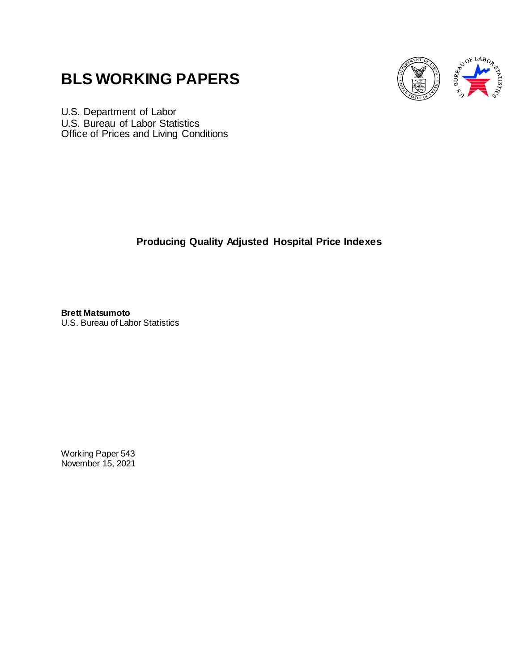# **BLS WORKING PAPERS**



U.S. Department of Labor U.S. Bureau of Labor Statistics Office of Prices and Living Conditions

**Producing Quality Adjusted Hospital Price Indexes**

**Brett Matsumoto** U.S. Bureau of Labor Statistics

Working Paper 543 November 15, 2021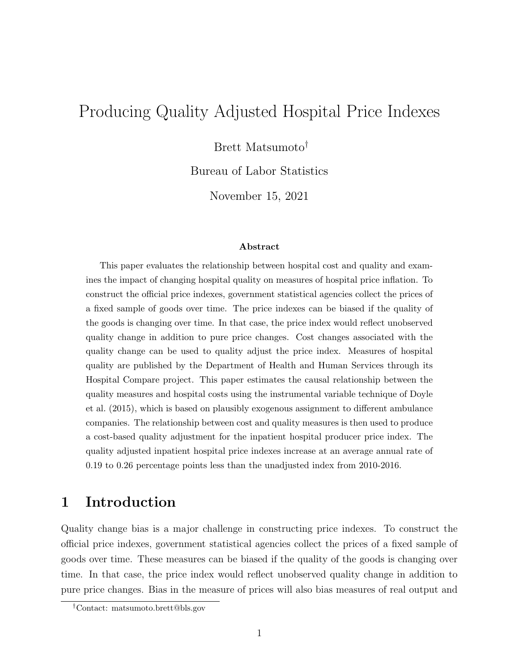## Producing Quality Adjusted Hospital Price Indexes

Brett Matsumoto†

Bureau of Labor Statistics

November 15, 2021

#### Abstract

This paper evaluates the relationship between hospital cost and quality and examines the impact of changing hospital quality on measures of hospital price inflation. To construct the official price indexes, government statistical agencies collect the prices of a fixed sample of goods over time. The price indexes can be biased if the quality of the goods is changing over time. In that case, the price index would reflect unobserved quality change in addition to pure price changes. Cost changes associated with the quality change can be used to quality adjust the price index. Measures of hospital quality are published by the Department of Health and Human Services through its Hospital Compare project. This paper estimates the causal relationship between the quality measures and hospital costs using the instrumental variable technique of Doyle et al. (2015), which is based on plausibly exogenous assignment to different ambulance companies. The relationship between cost and quality measures is then used to produce a cost-based quality adjustment for the inpatient hospital producer price index. The quality adjusted inpatient hospital price indexes increase at an average annual rate of 0.19 to 0.26 percentage points less than the unadjusted index from 2010-2016.

## 1 Introduction

Quality change bias is a major challenge in constructing price indexes. To construct the official price indexes, government statistical agencies collect the prices of a fixed sample of goods over time. These measures can be biased if the quality of the goods is changing over time. In that case, the price index would reflect unobserved quality change in addition to pure price changes. Bias in the measure of prices will also bias measures of real output and

<sup>†</sup>Contact: matsumoto.brett@bls.gov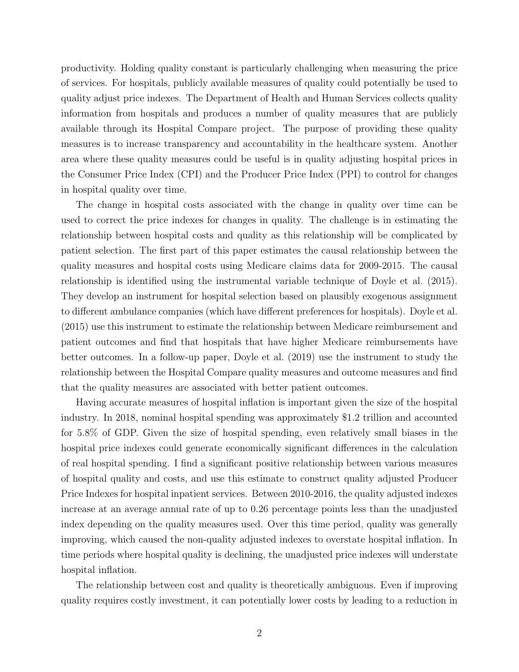productivity. Holding quality constant is particularly challenging when measuring the price of services. For hospitals, publicly available measures of quality could potentially be used to quality adjust price indexes. The Department of Health and Human Services collects quality information from hospitals and produces a number of quality measures that are publicly available through its Hospital Compare project. The purpose of providing these quality measures is to increase transparency and accountability in the healthcare system. Another area where these quality measures could be useful is in quality adjusting hospital prices in the Consumer Price Index (CPI) and the Producer Price Index (PPI) to control for changes in hospital quality over time.

The change in hospital costs associated with the change in quality over time can be used to correct the price indexes for changes in quality. The challenge is in estimating the relationship between hospital costs and quality as this relationship will be complicated by patient selection. The first part of this paper estimates the causal relationship between the quality measures and hospital costs using Medicare claims data for 2009-2015. The causal relationship is identified using the instrumental variable technique of Doyle et al. (2015). They develop an instrument for hospital selection based on plausibly exogenous assignment to different ambulance companies (which have different preferences for hospitals). Doyle et al. (2015) use this instrument to estimate the relationship between Medicare reimbursement and patient outcomes and find that hospitals that have higher Medicare reimbursements have better outcomes. In a follow-up paper, Doyle et al. (2019) use the instrument to study the relationship between the Hospital Compare quality measures and outcome measures and find that the quality measures are associated with better patient outcomes.

Having accurate measures of hospital inflation is important given the size of the hospital industry. In 2018, nominal hospital spending was approximately \$1.2 trillion and accounted for 5.8% of GDP. Given the size of hospital spending, even relatively small biases in the hospital price indexes could generate economically significant differences in the calculation of real hospital spending. I find a significant positive relationship between various measures of hospital quality and costs, and use this estimate to construct quality adjusted Producer Price Indexes for hospital inpatient services. Between 2010-2016, the quality adjusted indexes increase at an average annual rate of up to 0.26 percentage points less than the unadjusted index depending on the quality measures used. Over this time period, quality was generally improving, which caused the non-quality adjusted indexes to overstate hospital inflation. In time periods where hospital quality is declining, the unadjusted price indexes will understate hospital inflation.

The relationship between cost and quality is theoretically ambiguous. Even if improving quality requires costly investment, it can potentially lower costs by leading to a reduction in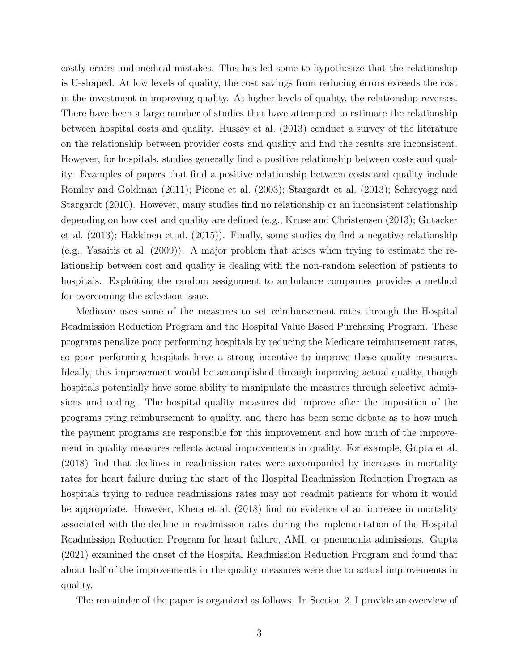costly errors and medical mistakes. This has led some to hypothesize that the relationship is U-shaped. At low levels of quality, the cost savings from reducing errors exceeds the cost in the investment in improving quality. At higher levels of quality, the relationship reverses. There have been a large number of studies that have attempted to estimate the relationship between hospital costs and quality. Hussey et al. (2013) conduct a survey of the literature on the relationship between provider costs and quality and find the results are inconsistent. However, for hospitals, studies generally find a positive relationship between costs and quality. Examples of papers that find a positive relationship between costs and quality include Romley and Goldman (2011); Picone et al. (2003); Stargardt et al. (2013); Schreyogg and Stargardt (2010). However, many studies find no relationship or an inconsistent relationship depending on how cost and quality are defined (e.g., Kruse and Christensen (2013); Gutacker et al. (2013); Hakkinen et al. (2015)). Finally, some studies do find a negative relationship (e.g., Yasaitis et al. (2009)). A major problem that arises when trying to estimate the relationship between cost and quality is dealing with the non-random selection of patients to hospitals. Exploiting the random assignment to ambulance companies provides a method for overcoming the selection issue.

Medicare uses some of the measures to set reimbursement rates through the Hospital Readmission Reduction Program and the Hospital Value Based Purchasing Program. These programs penalize poor performing hospitals by reducing the Medicare reimbursement rates, so poor performing hospitals have a strong incentive to improve these quality measures. Ideally, this improvement would be accomplished through improving actual quality, though hospitals potentially have some ability to manipulate the measures through selective admissions and coding. The hospital quality measures did improve after the imposition of the programs tying reimbursement to quality, and there has been some debate as to how much the payment programs are responsible for this improvement and how much of the improvement in quality measures reflects actual improvements in quality. For example, Gupta et al. (2018) find that declines in readmission rates were accompanied by increases in mortality rates for heart failure during the start of the Hospital Readmission Reduction Program as hospitals trying to reduce readmissions rates may not readmit patients for whom it would be appropriate. However, Khera et al. (2018) find no evidence of an increase in mortality associated with the decline in readmission rates during the implementation of the Hospital Readmission Reduction Program for heart failure, AMI, or pneumonia admissions. Gupta (2021) examined the onset of the Hospital Readmission Reduction Program and found that about half of the improvements in the quality measures were due to actual improvements in quality.

The remainder of the paper is organized as follows. In Section 2, I provide an overview of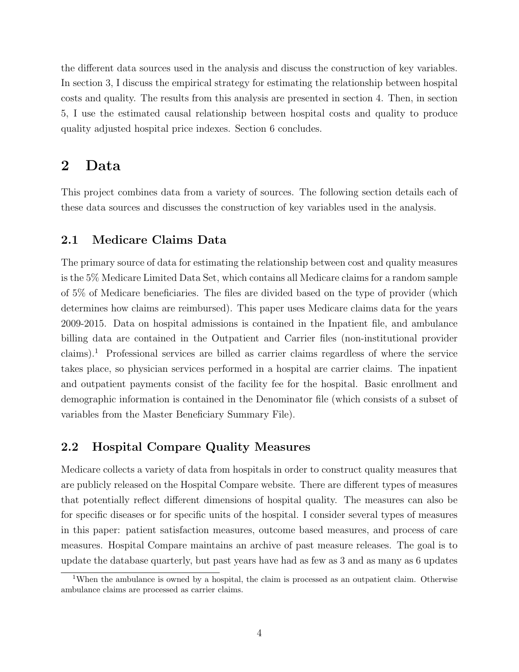the different data sources used in the analysis and discuss the construction of key variables. In section 3, I discuss the empirical strategy for estimating the relationship between hospital costs and quality. The results from this analysis are presented in section 4. Then, in section 5, I use the estimated causal relationship between hospital costs and quality to produce quality adjusted hospital price indexes. Section 6 concludes.

## 2 Data

This project combines data from a variety of sources. The following section details each of these data sources and discusses the construction of key variables used in the analysis.

## 2.1 Medicare Claims Data

The primary source of data for estimating the relationship between cost and quality measures is the 5% Medicare Limited Data Set, which contains all Medicare claims for a random sample of 5% of Medicare beneficiaries. The files are divided based on the type of provider (which determines how claims are reimbursed). This paper uses Medicare claims data for the years 2009-2015. Data on hospital admissions is contained in the Inpatient file, and ambulance billing data are contained in the Outpatient and Carrier files (non-institutional provider claims).<sup>1</sup> Professional services are billed as carrier claims regardless of where the service takes place, so physician services performed in a hospital are carrier claims. The inpatient and outpatient payments consist of the facility fee for the hospital. Basic enrollment and demographic information is contained in the Denominator file (which consists of a subset of variables from the Master Beneficiary Summary File).

## 2.2 Hospital Compare Quality Measures

Medicare collects a variety of data from hospitals in order to construct quality measures that are publicly released on the Hospital Compare website. There are different types of measures that potentially reflect different dimensions of hospital quality. The measures can also be for specific diseases or for specific units of the hospital. I consider several types of measures in this paper: patient satisfaction measures, outcome based measures, and process of care measures. Hospital Compare maintains an archive of past measure releases. The goal is to update the database quarterly, but past years have had as few as 3 and as many as 6 updates

<sup>&</sup>lt;sup>1</sup>When the ambulance is owned by a hospital, the claim is processed as an outpatient claim. Otherwise ambulance claims are processed as carrier claims.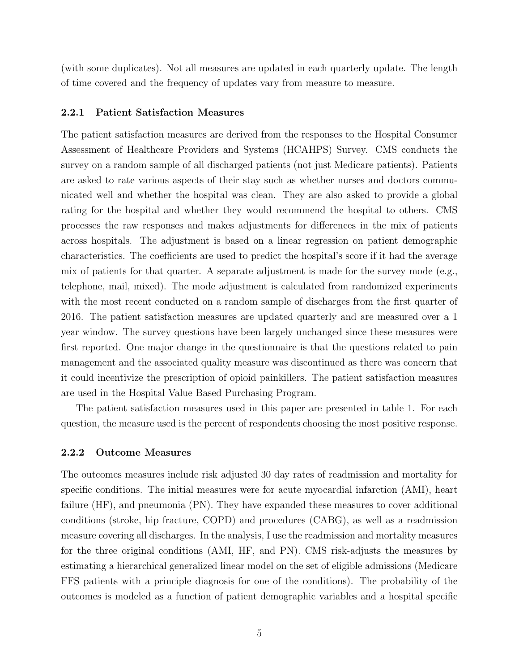(with some duplicates). Not all measures are updated in each quarterly update. The length of time covered and the frequency of updates vary from measure to measure.

#### 2.2.1 Patient Satisfaction Measures

The patient satisfaction measures are derived from the responses to the Hospital Consumer Assessment of Healthcare Providers and Systems (HCAHPS) Survey. CMS conducts the survey on a random sample of all discharged patients (not just Medicare patients). Patients are asked to rate various aspects of their stay such as whether nurses and doctors communicated well and whether the hospital was clean. They are also asked to provide a global rating for the hospital and whether they would recommend the hospital to others. CMS processes the raw responses and makes adjustments for differences in the mix of patients across hospitals. The adjustment is based on a linear regression on patient demographic characteristics. The coefficients are used to predict the hospital's score if it had the average mix of patients for that quarter. A separate adjustment is made for the survey mode (e.g., telephone, mail, mixed). The mode adjustment is calculated from randomized experiments with the most recent conducted on a random sample of discharges from the first quarter of 2016. The patient satisfaction measures are updated quarterly and are measured over a 1 year window. The survey questions have been largely unchanged since these measures were first reported. One major change in the questionnaire is that the questions related to pain management and the associated quality measure was discontinued as there was concern that it could incentivize the prescription of opioid painkillers. The patient satisfaction measures are used in the Hospital Value Based Purchasing Program.

The patient satisfaction measures used in this paper are presented in table 1. For each question, the measure used is the percent of respondents choosing the most positive response.

### 2.2.2 Outcome Measures

The outcomes measures include risk adjusted 30 day rates of readmission and mortality for specific conditions. The initial measures were for acute myocardial infarction (AMI), heart failure (HF), and pneumonia (PN). They have expanded these measures to cover additional conditions (stroke, hip fracture, COPD) and procedures (CABG), as well as a readmission measure covering all discharges. In the analysis, I use the readmission and mortality measures for the three original conditions (AMI, HF, and PN). CMS risk-adjusts the measures by estimating a hierarchical generalized linear model on the set of eligible admissions (Medicare FFS patients with a principle diagnosis for one of the conditions). The probability of the outcomes is modeled as a function of patient demographic variables and a hospital specific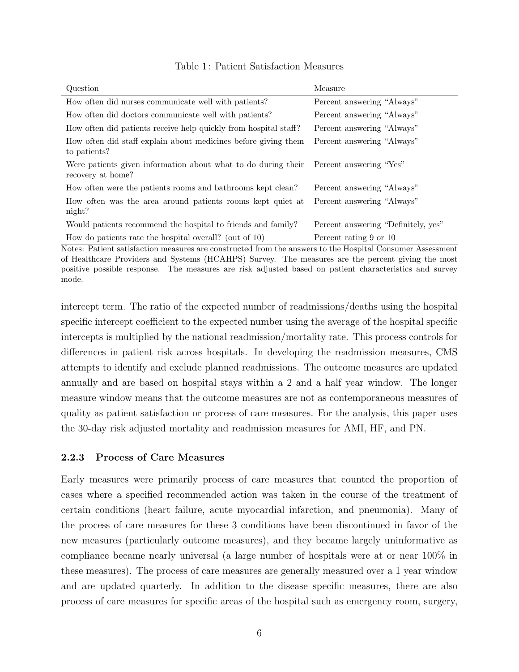| Question                                                                           | Measure                             |
|------------------------------------------------------------------------------------|-------------------------------------|
| How often did nurses communicate well with patients?                               | Percent answering "Always"          |
| How often did doctors communicate well with patients?                              | Percent answering "Always"          |
| How often did patients receive help quickly from hospital staff?                   | Percent answering "Always"          |
| How often did staff explain about medicines before giving them<br>to patients?     | Percent answering "Always"          |
| Were patients given information about what to do during their<br>recovery at home? | Percent answering "Yes"             |
| How often were the patients rooms and bathrooms kept clean?                        | Percent answering "Always"          |
| How often was the area around patients rooms kept quiet at<br>night?               | Percent answering "Always"          |
| Would patients recommend the hospital to friends and family?                       | Percent answering "Definitely, yes" |
| How do patients rate the hospital overall? (out of $10$ )                          | Percent rating 9 or 10              |

### Table 1: Patient Satisfaction Measures

Notes: Patient satisfaction measures are constructed from the answers to the Hospital Consumer Assessment of Healthcare Providers and Systems (HCAHPS) Survey. The measures are the percent giving the most positive possible response. The measures are risk adjusted based on patient characteristics and survey mode.

intercept term. The ratio of the expected number of readmissions/deaths using the hospital specific intercept coefficient to the expected number using the average of the hospital specific intercepts is multiplied by the national readmission/mortality rate. This process controls for differences in patient risk across hospitals. In developing the readmission measures, CMS attempts to identify and exclude planned readmissions. The outcome measures are updated annually and are based on hospital stays within a 2 and a half year window. The longer measure window means that the outcome measures are not as contemporaneous measures of quality as patient satisfaction or process of care measures. For the analysis, this paper uses the 30-day risk adjusted mortality and readmission measures for AMI, HF, and PN.

### 2.2.3 Process of Care Measures

Early measures were primarily process of care measures that counted the proportion of cases where a specified recommended action was taken in the course of the treatment of certain conditions (heart failure, acute myocardial infarction, and pneumonia). Many of the process of care measures for these 3 conditions have been discontinued in favor of the new measures (particularly outcome measures), and they became largely uninformative as compliance became nearly universal (a large number of hospitals were at or near 100% in these measures). The process of care measures are generally measured over a 1 year window and are updated quarterly. In addition to the disease specific measures, there are also process of care measures for specific areas of the hospital such as emergency room, surgery,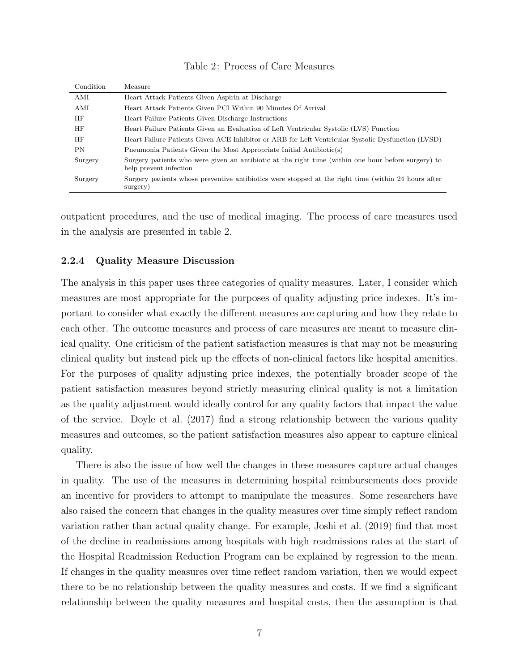| Condition | Measure                                                                                                                       |
|-----------|-------------------------------------------------------------------------------------------------------------------------------|
| AMI       | Heart Attack Patients Given Aspirin at Discharge                                                                              |
| AMI       | Heart Attack Patients Given PCI Within 90 Minutes Of Arrival                                                                  |
| HF        | Heart Failure Patients Given Discharge Instructions                                                                           |
| HF        | Heart Failure Patients Given an Evaluation of Left Ventricular Systolic (LVS) Function                                        |
| HF        | Heart Failure Patients Given ACE Inhibitor or ARB for Left Ventricular Systolic Dysfunction (LVSD)                            |
| <b>PN</b> | Pneumonia Patients Given the Most Appropriate Initial Antibiotic(s)                                                           |
| Surgery   | Surgery patients who were given an antibiotic at the right time (within one hour before surgery) to<br>help prevent infection |
| Surgery   | Surgery patients whose preventive antibiotics were stopped at the right time (within 24 hours after<br>surgery)               |

#### Table 2: Process of Care Measures

outpatient procedures, and the use of medical imaging. The process of care measures used in the analysis are presented in table 2.

#### 2.2.4 Quality Measure Discussion

The analysis in this paper uses three categories of quality measures. Later, I consider which measures are most appropriate for the purposes of quality adjusting price indexes. It's important to consider what exactly the different measures are capturing and how they relate to each other. The outcome measures and process of care measures are meant to measure clinical quality. One criticism of the patient satisfaction measures is that may not be measuring clinical quality but instead pick up the effects of non-clinical factors like hospital amenities. For the purposes of quality adjusting price indexes, the potentially broader scope of the patient satisfaction measures beyond strictly measuring clinical quality is not a limitation as the quality adjustment would ideally control for any quality factors that impact the value of the service. Doyle et al. (2017) find a strong relationship between the various quality measures and outcomes, so the patient satisfaction measures also appear to capture clinical quality.

There is also the issue of how well the changes in these measures capture actual changes in quality. The use of the measures in determining hospital reimbursements does provide an incentive for providers to attempt to manipulate the measures. Some researchers have also raised the concern that changes in the quality measures over time simply reflect random variation rather than actual quality change. For example, Joshi et al. (2019) find that most of the decline in readmissions among hospitals with high readmissions rates at the start of the Hospital Readmission Reduction Program can be explained by regression to the mean. If changes in the quality measures over time reflect random variation, then we would expect there to be no relationship between the quality measures and costs. If we find a significant relationship between the quality measures and hospital costs, then the assumption is that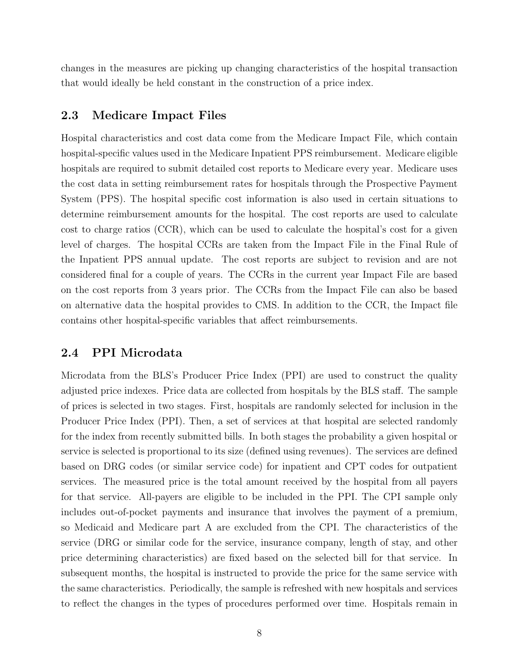changes in the measures are picking up changing characteristics of the hospital transaction that would ideally be held constant in the construction of a price index.

## 2.3 Medicare Impact Files

Hospital characteristics and cost data come from the Medicare Impact File, which contain hospital-specific values used in the Medicare Inpatient PPS reimbursement. Medicare eligible hospitals are required to submit detailed cost reports to Medicare every year. Medicare uses the cost data in setting reimbursement rates for hospitals through the Prospective Payment System (PPS). The hospital specific cost information is also used in certain situations to determine reimbursement amounts for the hospital. The cost reports are used to calculate cost to charge ratios (CCR), which can be used to calculate the hospital's cost for a given level of charges. The hospital CCRs are taken from the Impact File in the Final Rule of the Inpatient PPS annual update. The cost reports are subject to revision and are not considered final for a couple of years. The CCRs in the current year Impact File are based on the cost reports from 3 years prior. The CCRs from the Impact File can also be based on alternative data the hospital provides to CMS. In addition to the CCR, the Impact file contains other hospital-specific variables that affect reimbursements.

## 2.4 PPI Microdata

Microdata from the BLS's Producer Price Index (PPI) are used to construct the quality adjusted price indexes. Price data are collected from hospitals by the BLS staff. The sample of prices is selected in two stages. First, hospitals are randomly selected for inclusion in the Producer Price Index (PPI). Then, a set of services at that hospital are selected randomly for the index from recently submitted bills. In both stages the probability a given hospital or service is selected is proportional to its size (defined using revenues). The services are defined based on DRG codes (or similar service code) for inpatient and CPT codes for outpatient services. The measured price is the total amount received by the hospital from all payers for that service. All-payers are eligible to be included in the PPI. The CPI sample only includes out-of-pocket payments and insurance that involves the payment of a premium, so Medicaid and Medicare part A are excluded from the CPI. The characteristics of the service (DRG or similar code for the service, insurance company, length of stay, and other price determining characteristics) are fixed based on the selected bill for that service. In subsequent months, the hospital is instructed to provide the price for the same service with the same characteristics. Periodically, the sample is refreshed with new hospitals and services to reflect the changes in the types of procedures performed over time. Hospitals remain in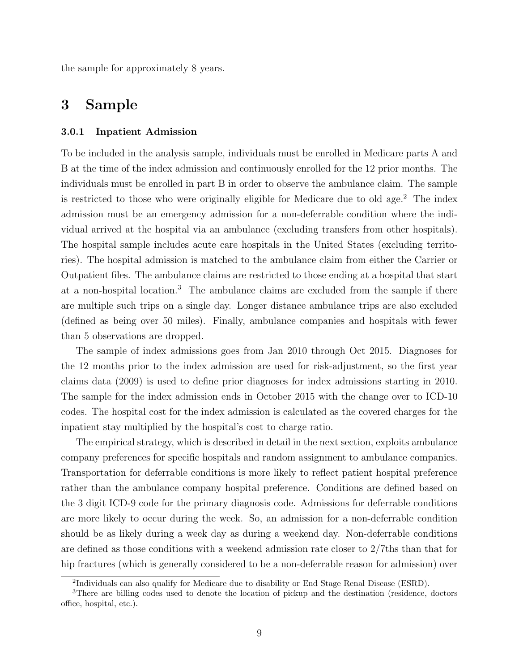the sample for approximately 8 years.

## 3 Sample

#### 3.0.1 Inpatient Admission

To be included in the analysis sample, individuals must be enrolled in Medicare parts A and B at the time of the index admission and continuously enrolled for the 12 prior months. The individuals must be enrolled in part B in order to observe the ambulance claim. The sample is restricted to those who were originally eligible for Medicare due to old age.<sup>2</sup> The index admission must be an emergency admission for a non-deferrable condition where the individual arrived at the hospital via an ambulance (excluding transfers from other hospitals). The hospital sample includes acute care hospitals in the United States (excluding territories). The hospital admission is matched to the ambulance claim from either the Carrier or Outpatient files. The ambulance claims are restricted to those ending at a hospital that start at a non-hospital location.<sup>3</sup> The ambulance claims are excluded from the sample if there are multiple such trips on a single day. Longer distance ambulance trips are also excluded (defined as being over 50 miles). Finally, ambulance companies and hospitals with fewer than 5 observations are dropped.

The sample of index admissions goes from Jan 2010 through Oct 2015. Diagnoses for the 12 months prior to the index admission are used for risk-adjustment, so the first year claims data (2009) is used to define prior diagnoses for index admissions starting in 2010. The sample for the index admission ends in October 2015 with the change over to ICD-10 codes. The hospital cost for the index admission is calculated as the covered charges for the inpatient stay multiplied by the hospital's cost to charge ratio.

The empirical strategy, which is described in detail in the next section, exploits ambulance company preferences for specific hospitals and random assignment to ambulance companies. Transportation for deferrable conditions is more likely to reflect patient hospital preference rather than the ambulance company hospital preference. Conditions are defined based on the 3 digit ICD-9 code for the primary diagnosis code. Admissions for deferrable conditions are more likely to occur during the week. So, an admission for a non-deferrable condition should be as likely during a week day as during a weekend day. Non-deferrable conditions are defined as those conditions with a weekend admission rate closer to 2/7ths than that for hip fractures (which is generally considered to be a non-deferrable reason for admission) over

<sup>&</sup>lt;sup>2</sup>Individuals can also qualify for Medicare due to disability or End Stage Renal Disease (ESRD).

<sup>3</sup>There are billing codes used to denote the location of pickup and the destination (residence, doctors office, hospital, etc.).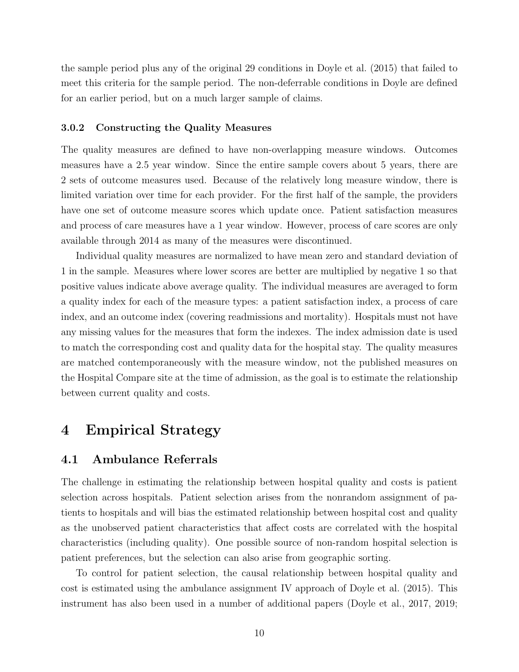the sample period plus any of the original 29 conditions in Doyle et al. (2015) that failed to meet this criteria for the sample period. The non-deferrable conditions in Doyle are defined for an earlier period, but on a much larger sample of claims.

#### 3.0.2 Constructing the Quality Measures

The quality measures are defined to have non-overlapping measure windows. Outcomes measures have a 2.5 year window. Since the entire sample covers about 5 years, there are 2 sets of outcome measures used. Because of the relatively long measure window, there is limited variation over time for each provider. For the first half of the sample, the providers have one set of outcome measure scores which update once. Patient satisfaction measures and process of care measures have a 1 year window. However, process of care scores are only available through 2014 as many of the measures were discontinued.

Individual quality measures are normalized to have mean zero and standard deviation of 1 in the sample. Measures where lower scores are better are multiplied by negative 1 so that positive values indicate above average quality. The individual measures are averaged to form a quality index for each of the measure types: a patient satisfaction index, a process of care index, and an outcome index (covering readmissions and mortality). Hospitals must not have any missing values for the measures that form the indexes. The index admission date is used to match the corresponding cost and quality data for the hospital stay. The quality measures are matched contemporaneously with the measure window, not the published measures on the Hospital Compare site at the time of admission, as the goal is to estimate the relationship between current quality and costs.

## 4 Empirical Strategy

## 4.1 Ambulance Referrals

The challenge in estimating the relationship between hospital quality and costs is patient selection across hospitals. Patient selection arises from the nonrandom assignment of patients to hospitals and will bias the estimated relationship between hospital cost and quality as the unobserved patient characteristics that affect costs are correlated with the hospital characteristics (including quality). One possible source of non-random hospital selection is patient preferences, but the selection can also arise from geographic sorting.

To control for patient selection, the causal relationship between hospital quality and cost is estimated using the ambulance assignment IV approach of Doyle et al. (2015). This instrument has also been used in a number of additional papers (Doyle et al., 2017, 2019;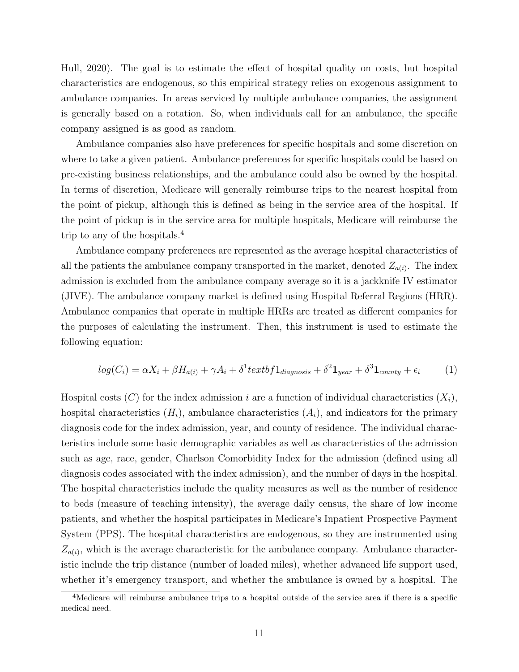Hull, 2020). The goal is to estimate the effect of hospital quality on costs, but hospital characteristics are endogenous, so this empirical strategy relies on exogenous assignment to ambulance companies. In areas serviced by multiple ambulance companies, the assignment is generally based on a rotation. So, when individuals call for an ambulance, the specific company assigned is as good as random.

Ambulance companies also have preferences for specific hospitals and some discretion on where to take a given patient. Ambulance preferences for specific hospitals could be based on pre-existing business relationships, and the ambulance could also be owned by the hospital. In terms of discretion, Medicare will generally reimburse trips to the nearest hospital from the point of pickup, although this is defined as being in the service area of the hospital. If the point of pickup is in the service area for multiple hospitals, Medicare will reimburse the trip to any of the hospitals.<sup>4</sup>

Ambulance company preferences are represented as the average hospital characteristics of all the patients the ambulance company transported in the market, denoted  $Z_{a(i)}$ . The index admission is excluded from the ambulance company average so it is a jackknife IV estimator (JIVE). The ambulance company market is defined using Hospital Referral Regions (HRR). Ambulance companies that operate in multiple HRRs are treated as different companies for the purposes of calculating the instrument. Then, this instrument is used to estimate the following equation:

$$
log(C_i) = \alpha X_i + \beta H_{a(i)} + \gamma A_i + \delta^1 textbf1_{diagnosis} + \delta^2 \mathbf{1}_{year} + \delta^3 \mathbf{1}_{county} + \epsilon_i
$$
 (1)

Hospital costs  $(C)$  for the index admission i are a function of individual characteristics  $(X_i)$ , hospital characteristics  $(H_i)$ , ambulance characteristics  $(A_i)$ , and indicators for the primary diagnosis code for the index admission, year, and county of residence. The individual characteristics include some basic demographic variables as well as characteristics of the admission such as age, race, gender, Charlson Comorbidity Index for the admission (defined using all diagnosis codes associated with the index admission), and the number of days in the hospital. The hospital characteristics include the quality measures as well as the number of residence to beds (measure of teaching intensity), the average daily census, the share of low income patients, and whether the hospital participates in Medicare's Inpatient Prospective Payment System (PPS). The hospital characteristics are endogenous, so they are instrumented using  $Z_{a(i)}$ , which is the average characteristic for the ambulance company. Ambulance characteristic include the trip distance (number of loaded miles), whether advanced life support used, whether it's emergency transport, and whether the ambulance is owned by a hospital. The

<sup>&</sup>lt;sup>4</sup>Medicare will reimburse ambulance trips to a hospital outside of the service area if there is a specific medical need.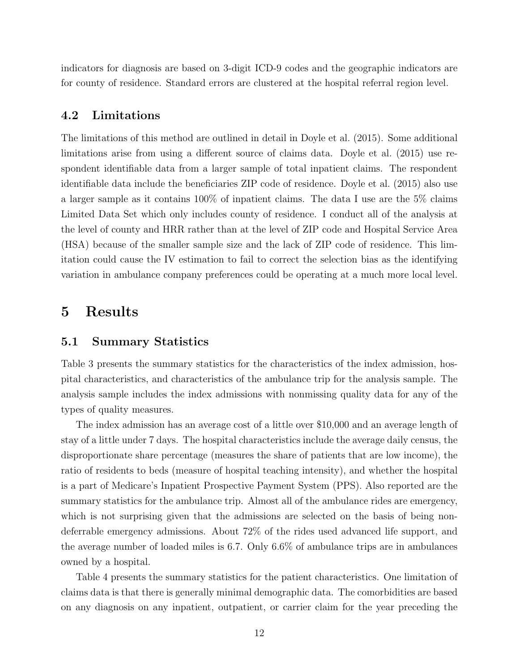indicators for diagnosis are based on 3-digit ICD-9 codes and the geographic indicators are for county of residence. Standard errors are clustered at the hospital referral region level.

## 4.2 Limitations

The limitations of this method are outlined in detail in Doyle et al. (2015). Some additional limitations arise from using a different source of claims data. Doyle et al. (2015) use respondent identifiable data from a larger sample of total inpatient claims. The respondent identifiable data include the beneficiaries ZIP code of residence. Doyle et al. (2015) also use a larger sample as it contains 100% of inpatient claims. The data I use are the 5% claims Limited Data Set which only includes county of residence. I conduct all of the analysis at the level of county and HRR rather than at the level of ZIP code and Hospital Service Area (HSA) because of the smaller sample size and the lack of ZIP code of residence. This limitation could cause the IV estimation to fail to correct the selection bias as the identifying variation in ambulance company preferences could be operating at a much more local level.

## 5 Results

### 5.1 Summary Statistics

Table 3 presents the summary statistics for the characteristics of the index admission, hospital characteristics, and characteristics of the ambulance trip for the analysis sample. The analysis sample includes the index admissions with nonmissing quality data for any of the types of quality measures.

The index admission has an average cost of a little over \$10,000 and an average length of stay of a little under 7 days. The hospital characteristics include the average daily census, the disproportionate share percentage (measures the share of patients that are low income), the ratio of residents to beds (measure of hospital teaching intensity), and whether the hospital is a part of Medicare's Inpatient Prospective Payment System (PPS). Also reported are the summary statistics for the ambulance trip. Almost all of the ambulance rides are emergency, which is not surprising given that the admissions are selected on the basis of being nondeferrable emergency admissions. About 72% of the rides used advanced life support, and the average number of loaded miles is 6.7. Only 6.6% of ambulance trips are in ambulances owned by a hospital.

Table 4 presents the summary statistics for the patient characteristics. One limitation of claims data is that there is generally minimal demographic data. The comorbidities are based on any diagnosis on any inpatient, outpatient, or carrier claim for the year preceding the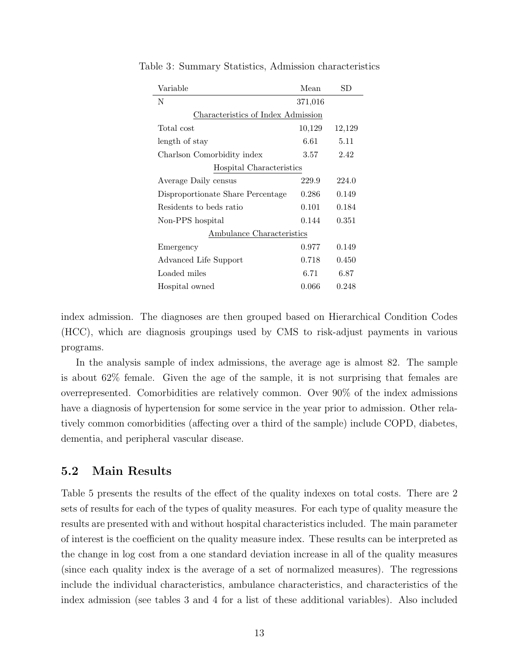| Variable                           | Mean    | $_{\rm SD}$ |
|------------------------------------|---------|-------------|
| N                                  | 371,016 |             |
| Characteristics of Index Admission |         |             |
| Total cost                         | 10,129  | 12,129      |
| length of stay                     | 6.61    | 5.11        |
| Charlson Comorbidity index         | 3.57    | 2.42        |
| Hospital Characteristics           |         |             |
| Average Daily census               | 229.9   | 224.0       |
| Disproportionate Share Percentage  | 0.286   | 0.149       |
| Residents to beds ratio            | 0.101   | 0.184       |
| Non-PPS hospital                   | 0.144   | 0.351       |
| Ambulance Characteristics          |         |             |
| Emergency                          | 0.977   | 0.149       |
| Advanced Life Support              | 0.718   | 0.450       |
| Loaded miles                       | 6.71    | 6.87        |
| Hospital owned                     | 0.066   | 0.248       |

Table 3: Summary Statistics, Admission characteristics

index admission. The diagnoses are then grouped based on Hierarchical Condition Codes (HCC), which are diagnosis groupings used by CMS to risk-adjust payments in various programs.

In the analysis sample of index admissions, the average age is almost 82. The sample is about 62% female. Given the age of the sample, it is not surprising that females are overrepresented. Comorbidities are relatively common. Over 90% of the index admissions have a diagnosis of hypertension for some service in the year prior to admission. Other relatively common comorbidities (affecting over a third of the sample) include COPD, diabetes, dementia, and peripheral vascular disease.

## 5.2 Main Results

Table 5 presents the results of the effect of the quality indexes on total costs. There are 2 sets of results for each of the types of quality measures. For each type of quality measure the results are presented with and without hospital characteristics included. The main parameter of interest is the coefficient on the quality measure index. These results can be interpreted as the change in log cost from a one standard deviation increase in all of the quality measures (since each quality index is the average of a set of normalized measures). The regressions include the individual characteristics, ambulance characteristics, and characteristics of the index admission (see tables 3 and 4 for a list of these additional variables). Also included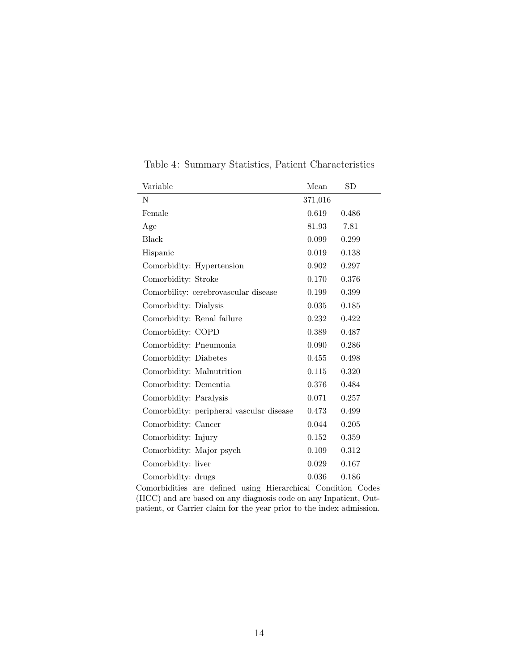| Variable                                 | Mean      | SD        |
|------------------------------------------|-----------|-----------|
| N                                        | 371,016   |           |
| Female                                   | 0.619     | 0.486     |
| Age                                      | 81.93     | 7.81      |
| <b>Black</b>                             | 0.099     | 0.299     |
| Hispanic                                 | 0.019     | $0.138\,$ |
| Comorbidity: Hypertension                | 0.902     | 0.297     |
| Comorbidity: Stroke                      | 0.170     | 0.376     |
| Comorbility: cerebrovascular disease     | 0.199     | 0.399     |
| Comorbidity: Dialysis                    | 0.035     | 0.185     |
| Comorbidity: Renal failure               | 0.232     | 0.422     |
| Comorbidity: COPD                        | 0.389     | 0.487     |
| Comorbidity: Pneumonia                   | 0.090     | 0.286     |
| Comorbidity: Diabetes                    | 0.455     | 0.498     |
| Comorbidity: Malnutrition                | $0.115\,$ | 0.320     |
| Comorbidity: Dementia                    | 0.376     | 0.484     |
| Comorbidity: Paralysis                   | 0.071     | 0.257     |
| Comorbidity: peripheral vascular disease | 0.473     | 0.499     |
| Comorbidity: Cancer                      | 0.044     | 0.205     |
| Comorbidity: Injury                      | 0.152     | 0.359     |
| Comorbidity: Major psych                 | 0.109     | 0.312     |
| Comorbidity: liver                       | 0.029     | 0.167     |
| Comorbidity: drugs                       | 0.036     | 0.186     |

Table 4: Summary Statistics, Patient Characteristics

Comorbidities are defined using Hierarchical Condition Codes (HCC) and are based on any diagnosis code on any Inpatient, Outpatient, or Carrier claim for the year prior to the index admission.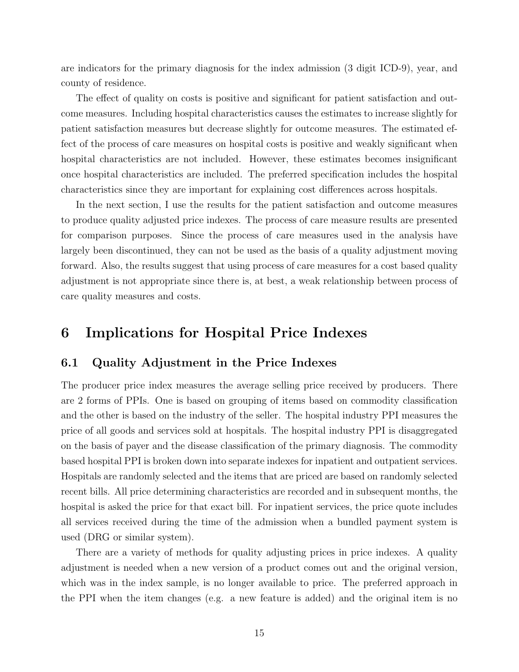are indicators for the primary diagnosis for the index admission (3 digit ICD-9), year, and county of residence.

The effect of quality on costs is positive and significant for patient satisfaction and outcome measures. Including hospital characteristics causes the estimates to increase slightly for patient satisfaction measures but decrease slightly for outcome measures. The estimated effect of the process of care measures on hospital costs is positive and weakly significant when hospital characteristics are not included. However, these estimates becomes insignificant once hospital characteristics are included. The preferred specification includes the hospital characteristics since they are important for explaining cost differences across hospitals.

In the next section, I use the results for the patient satisfaction and outcome measures to produce quality adjusted price indexes. The process of care measure results are presented for comparison purposes. Since the process of care measures used in the analysis have largely been discontinued, they can not be used as the basis of a quality adjustment moving forward. Also, the results suggest that using process of care measures for a cost based quality adjustment is not appropriate since there is, at best, a weak relationship between process of care quality measures and costs.

## 6 Implications for Hospital Price Indexes

### 6.1 Quality Adjustment in the Price Indexes

The producer price index measures the average selling price received by producers. There are 2 forms of PPIs. One is based on grouping of items based on commodity classification and the other is based on the industry of the seller. The hospital industry PPI measures the price of all goods and services sold at hospitals. The hospital industry PPI is disaggregated on the basis of payer and the disease classification of the primary diagnosis. The commodity based hospital PPI is broken down into separate indexes for inpatient and outpatient services. Hospitals are randomly selected and the items that are priced are based on randomly selected recent bills. All price determining characteristics are recorded and in subsequent months, the hospital is asked the price for that exact bill. For inpatient services, the price quote includes all services received during the time of the admission when a bundled payment system is used (DRG or similar system).

There are a variety of methods for quality adjusting prices in price indexes. A quality adjustment is needed when a new version of a product comes out and the original version, which was in the index sample, is no longer available to price. The preferred approach in the PPI when the item changes (e.g. a new feature is added) and the original item is no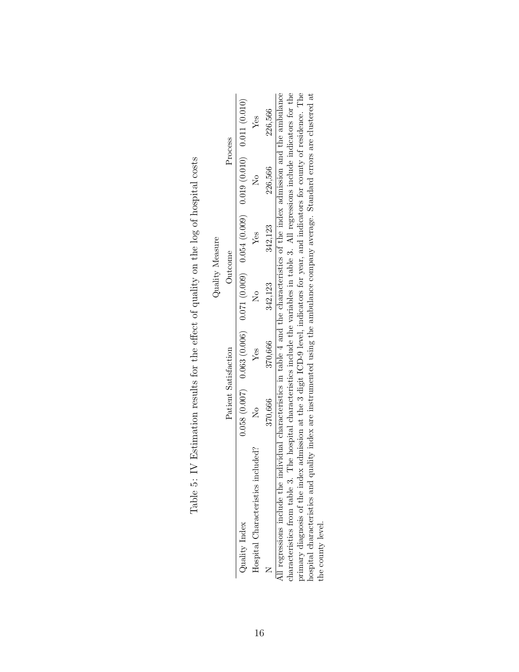|                                                                                                                                   |               |                      | Quality Measure |         |         |                                                                                                           |
|-----------------------------------------------------------------------------------------------------------------------------------|---------------|----------------------|-----------------|---------|---------|-----------------------------------------------------------------------------------------------------------|
|                                                                                                                                   |               | Patient Satisfaction | Outcome         |         |         | Process                                                                                                   |
| Quality Index                                                                                                                     |               |                      |                 |         |         |                                                                                                           |
| Hospital Characteristics included?                                                                                                | $\frac{1}{2}$ | Ves                  |                 | Yes     |         | Yes                                                                                                       |
|                                                                                                                                   | 370,666       | 370,666              | 342,123         | 342,123 | 226,566 | 226,566                                                                                                   |
| If regressions include the individual characteristics in table 4 and the characteristics of the index admission and the ambulance |               |                      |                 |         |         |                                                                                                           |
| haracteristics from table 3.                                                                                                      |               |                      |                 |         |         | The hospital characteristics include the variables in table 3. All regressions include indicators for the |
|                                                                                                                                   |               |                      |                 |         |         |                                                                                                           |

Table 5: IV Estimation results for the effect of quality on the log of hospital costs Table 5: IV Estimation results for the effect of quality on the log of hospital costs

primary diagnosis of the index admission at the 3 digit ICD-9 level, indicators for year, and indicators for county of residence. The hospital characteristics and quality index are instrumented using the ambulance company average. Standard errors are clustered at primary diagnosis of the index admission at the 3 digit ICD-9 level, indicators for year, and indicators for county of residence. The hospital characteristics and quality index are instrumented using the ambulance company average. Standard errors are clustered at the county level. the county level. ರ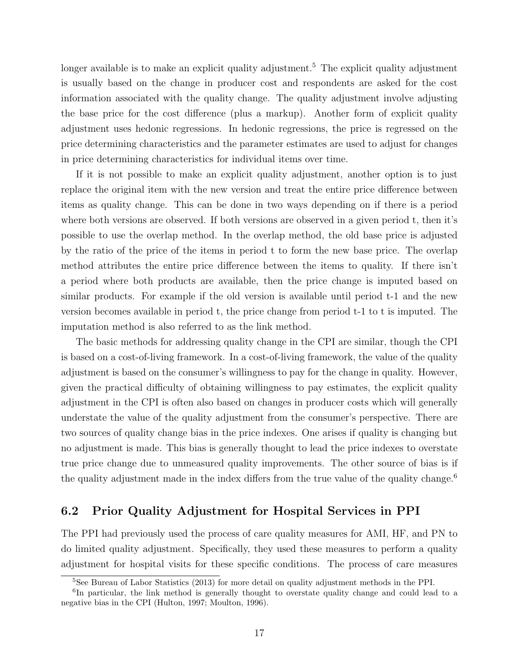longer available is to make an explicit quality adjustment.<sup>5</sup> The explicit quality adjustment is usually based on the change in producer cost and respondents are asked for the cost information associated with the quality change. The quality adjustment involve adjusting the base price for the cost difference (plus a markup). Another form of explicit quality adjustment uses hedonic regressions. In hedonic regressions, the price is regressed on the price determining characteristics and the parameter estimates are used to adjust for changes in price determining characteristics for individual items over time.

If it is not possible to make an explicit quality adjustment, another option is to just replace the original item with the new version and treat the entire price difference between items as quality change. This can be done in two ways depending on if there is a period where both versions are observed. If both versions are observed in a given period t, then it's possible to use the overlap method. In the overlap method, the old base price is adjusted by the ratio of the price of the items in period t to form the new base price. The overlap method attributes the entire price difference between the items to quality. If there isn't a period where both products are available, then the price change is imputed based on similar products. For example if the old version is available until period t-1 and the new version becomes available in period t, the price change from period t-1 to t is imputed. The imputation method is also referred to as the link method.

The basic methods for addressing quality change in the CPI are similar, though the CPI is based on a cost-of-living framework. In a cost-of-living framework, the value of the quality adjustment is based on the consumer's willingness to pay for the change in quality. However, given the practical difficulty of obtaining willingness to pay estimates, the explicit quality adjustment in the CPI is often also based on changes in producer costs which will generally understate the value of the quality adjustment from the consumer's perspective. There are two sources of quality change bias in the price indexes. One arises if quality is changing but no adjustment is made. This bias is generally thought to lead the price indexes to overstate true price change due to unmeasured quality improvements. The other source of bias is if the quality adjustment made in the index differs from the true value of the quality change.<sup>6</sup>

## 6.2 Prior Quality Adjustment for Hospital Services in PPI

The PPI had previously used the process of care quality measures for AMI, HF, and PN to do limited quality adjustment. Specifically, they used these measures to perform a quality adjustment for hospital visits for these specific conditions. The process of care measures

<sup>5</sup>See Bureau of Labor Statistics (2013) for more detail on quality adjustment methods in the PPI.

<sup>&</sup>lt;sup>6</sup>In particular, the link method is generally thought to overstate quality change and could lead to a negative bias in the CPI (Hulton, 1997; Moulton, 1996).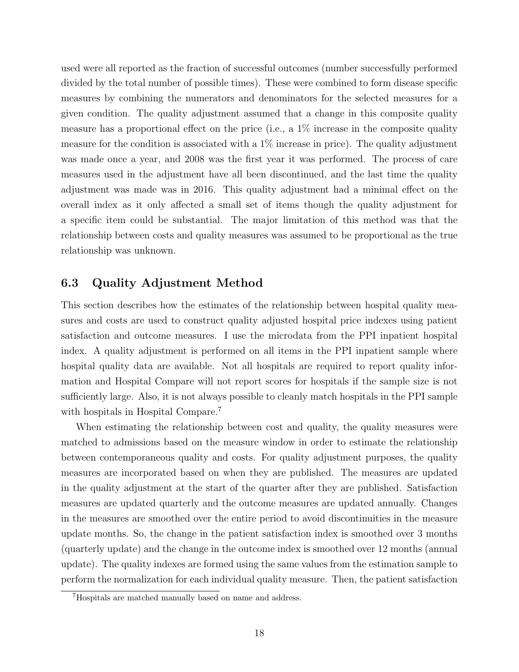used were all reported as the fraction of successful outcomes (number successfully performed divided by the total number of possible times). These were combined to form disease specific measures by combining the numerators and denominators for the selected measures for a given condition. The quality adjustment assumed that a change in this composite quality measure has a proportional effect on the price (i.e., a 1% increase in the composite quality measure for the condition is associated with a  $1\%$  increase in price). The quality adjustment was made once a year, and 2008 was the first year it was performed. The process of care measures used in the adjustment have all been discontinued, and the last time the quality adjustment was made was in 2016. This quality adjustment had a minimal effect on the overall index as it only affected a small set of items though the quality adjustment for a specific item could be substantial. The major limitation of this method was that the relationship between costs and quality measures was assumed to be proportional as the true relationship was unknown.

## 6.3 Quality Adjustment Method

This section describes how the estimates of the relationship between hospital quality measures and costs are used to construct quality adjusted hospital price indexes using patient satisfaction and outcome measures. I use the microdata from the PPI inpatient hospital index. A quality adjustment is performed on all items in the PPI inpatient sample where hospital quality data are available. Not all hospitals are required to report quality information and Hospital Compare will not report scores for hospitals if the sample size is not sufficiently large. Also, it is not always possible to cleanly match hospitals in the PPI sample with hospitals in Hospital Compare.<sup>7</sup>

When estimating the relationship between cost and quality, the quality measures were matched to admissions based on the measure window in order to estimate the relationship between contemporaneous quality and costs. For quality adjustment purposes, the quality measures are incorporated based on when they are published. The measures are updated in the quality adjustment at the start of the quarter after they are published. Satisfaction measures are updated quarterly and the outcome measures are updated annually. Changes in the measures are smoothed over the entire period to avoid discontinuities in the measure update months. So, the change in the patient satisfaction index is smoothed over 3 months (quarterly update) and the change in the outcome index is smoothed over 12 months (annual update). The quality indexes are formed using the same values from the estimation sample to perform the normalization for each individual quality measure. Then, the patient satisfaction

<sup>7</sup>Hospitals are matched manually based on name and address.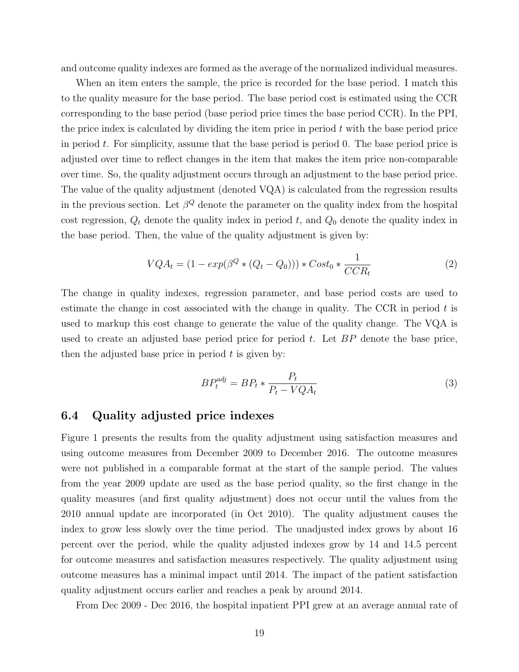and outcome quality indexes are formed as the average of the normalized individual measures.

When an item enters the sample, the price is recorded for the base period. I match this to the quality measure for the base period. The base period cost is estimated using the CCR corresponding to the base period (base period price times the base period CCR). In the PPI, the price index is calculated by dividing the item price in period  $t$  with the base period price in period  $t$ . For simplicity, assume that the base period is period 0. The base period price is adjusted over time to reflect changes in the item that makes the item price non-comparable over time. So, the quality adjustment occurs through an adjustment to the base period price. The value of the quality adjustment (denoted VQA) is calculated from the regression results in the previous section. Let  $\beta^Q$  denote the parameter on the quality index from the hospital cost regression,  $Q_t$  denote the quality index in period t, and  $Q_0$  denote the quality index in the base period. Then, the value of the quality adjustment is given by:

$$
VQA_t = (1 - exp(\beta^Q * (Q_t - Q_0))) * Cost_0 * \frac{1}{CCR_t}
$$
 (2)

The change in quality indexes, regression parameter, and base period costs are used to estimate the change in cost associated with the change in quality. The CCR in period  $t$  is used to markup this cost change to generate the value of the quality change. The VQA is used to create an adjusted base period price for period  $t$ . Let  $BP$  denote the base price, then the adjusted base price in period  $t$  is given by:

$$
BP_t^{adj} = BP_t * \frac{P_t}{P_t - VQA_t} \tag{3}
$$

### 6.4 Quality adjusted price indexes

Figure 1 presents the results from the quality adjustment using satisfaction measures and using outcome measures from December 2009 to December 2016. The outcome measures were not published in a comparable format at the start of the sample period. The values from the year 2009 update are used as the base period quality, so the first change in the quality measures (and first quality adjustment) does not occur until the values from the 2010 annual update are incorporated (in Oct 2010). The quality adjustment causes the index to grow less slowly over the time period. The unadjusted index grows by about 16 percent over the period, while the quality adjusted indexes grow by 14 and 14.5 percent for outcome measures and satisfaction measures respectively. The quality adjustment using outcome measures has a minimal impact until 2014. The impact of the patient satisfaction quality adjustment occurs earlier and reaches a peak by around 2014.

From Dec 2009 - Dec 2016, the hospital inpatient PPI grew at an average annual rate of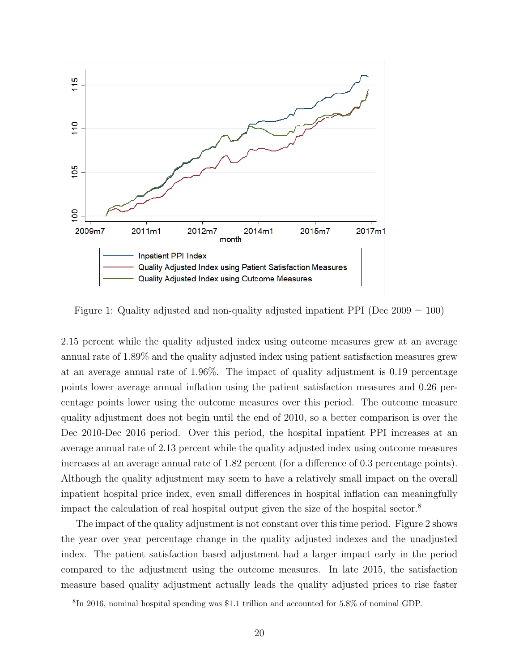

Figure 1: Quality adjusted and non-quality adjusted inpatient PPI (Dec 2009 = 100)

2.15 percent while the quality adjusted index using outcome measures grew at an average annual rate of 1.89% and the quality adjusted index using patient satisfaction measures grew at an average annual rate of 1.96%. The impact of quality adjustment is 0.19 percentage points lower average annual inflation using the patient satisfaction measures and 0.26 percentage points lower using the outcome measures over this period. The outcome measure quality adjustment does not begin until the end of 2010, so a better comparison is over the Dec 2010-Dec 2016 period. Over this period, the hospital inpatient PPI increases at an average annual rate of 2.13 percent while the quality adjusted index using outcome measures increases at an average annual rate of 1.82 percent (for a difference of 0.3 percentage points). Although the quality adjustment may seem to have a relatively small impact on the overall inpatient hospital price index, even small differences in hospital inflation can meaningfully impact the calculation of real hospital output given the size of the hospital sector.<sup>8</sup>

The impact of the quality adjustment is not constant over this time period. Figure 2 shows the year over year percentage change in the quality adjusted indexes and the unadjusted index. The patient satisfaction based adjustment had a larger impact early in the period compared to the adjustment using the outcome measures. In late 2015, the satisfaction measure based quality adjustment actually leads the quality adjusted prices to rise faster

<sup>8</sup> In 2016, nominal hospital spending was \$1.1 trillion and accounted for 5.8% of nominal GDP.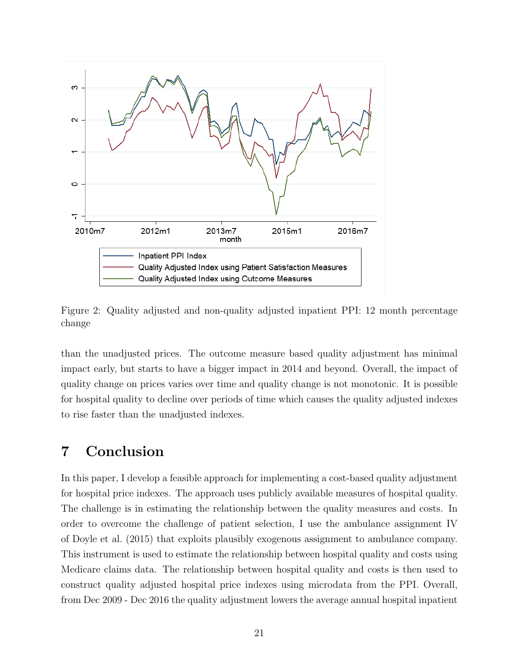

Figure 2: Quality adjusted and non-quality adjusted inpatient PPI: 12 month percentage change

than the unadjusted prices. The outcome measure based quality adjustment has minimal impact early, but starts to have a bigger impact in 2014 and beyond. Overall, the impact of quality change on prices varies over time and quality change is not monotonic. It is possible for hospital quality to decline over periods of time which causes the quality adjusted indexes to rise faster than the unadjusted indexes.

## 7 Conclusion

In this paper, I develop a feasible approach for implementing a cost-based quality adjustment for hospital price indexes. The approach uses publicly available measures of hospital quality. The challenge is in estimating the relationship between the quality measures and costs. In order to overcome the challenge of patient selection, I use the ambulance assignment IV of Doyle et al. (2015) that exploits plausibly exogenous assignment to ambulance company. This instrument is used to estimate the relationship between hospital quality and costs using Medicare claims data. The relationship between hospital quality and costs is then used to construct quality adjusted hospital price indexes using microdata from the PPI. Overall, from Dec 2009 - Dec 2016 the quality adjustment lowers the average annual hospital inpatient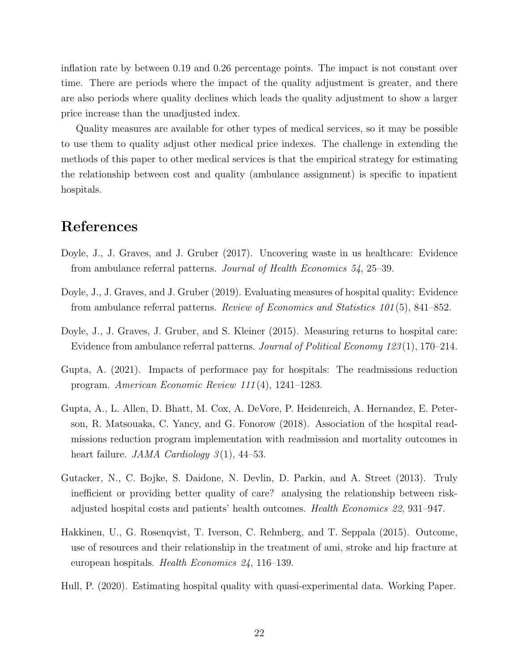inflation rate by between 0.19 and 0.26 percentage points. The impact is not constant over time. There are periods where the impact of the quality adjustment is greater, and there are also periods where quality declines which leads the quality adjustment to show a larger price increase than the unadjusted index.

Quality measures are available for other types of medical services, so it may be possible to use them to quality adjust other medical price indexes. The challenge in extending the methods of this paper to other medical services is that the empirical strategy for estimating the relationship between cost and quality (ambulance assignment) is specific to inpatient hospitals.

## References

- Doyle, J., J. Graves, and J. Gruber (2017). Uncovering waste in us healthcare: Evidence from ambulance referral patterns. Journal of Health Economics 54, 25–39.
- Doyle, J., J. Graves, and J. Gruber (2019). Evaluating measures of hospital quality: Evidence from ambulance referral patterns. Review of Economics and Statistics 101 (5), 841–852.
- Doyle, J., J. Graves, J. Gruber, and S. Kleiner (2015). Measuring returns to hospital care: Evidence from ambulance referral patterns. Journal of Political Economy 123 (1), 170–214.
- Gupta, A. (2021). Impacts of performace pay for hospitals: The readmissions reduction program. American Economic Review 111 (4), 1241–1283.
- Gupta, A., L. Allen, D. Bhatt, M. Cox, A. DeVore, P. Heidenreich, A. Hernandez, E. Peterson, R. Matsouaka, C. Yancy, and G. Fonorow (2018). Association of the hospital readmissions reduction program implementation with readmission and mortality outcomes in heart failure. *JAMA Cardiology*  $3(1)$ , 44–53.
- Gutacker, N., C. Bojke, S. Daidone, N. Devlin, D. Parkin, and A. Street (2013). Truly inefficient or providing better quality of care? analysing the relationship between riskadjusted hospital costs and patients' health outcomes. Health Economics 22, 931–947.
- Hakkinen, U., G. Rosenqvist, T. Iverson, C. Rehnberg, and T. Seppala (2015). Outcome, use of resources and their relationship in the treatment of ami, stroke and hip fracture at european hospitals. Health Economics 24, 116–139.
- Hull, P. (2020). Estimating hospital quality with quasi-experimental data. Working Paper.